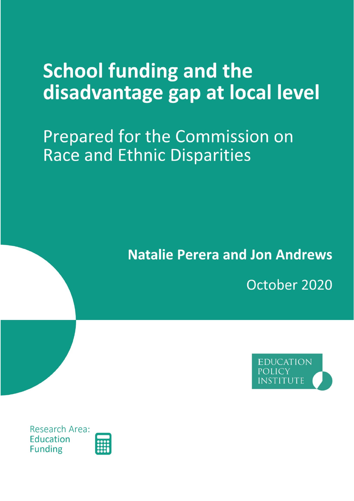# **School funding and the** disadvantage gap at local level

## **Prepared for the Commission on Race and Ethnic Disparities**

## **Natalie Perera and Jon Andrews**

October 2020



Research Area: Education **Funding** 

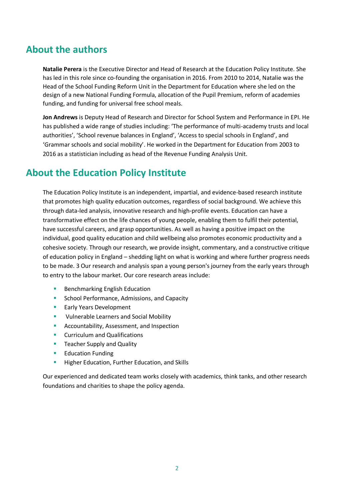### **About the authors**

**Natalie Perera** is the Executive Director and Head of Research at the Education Policy Institute. She has led in this role since co-founding the organisation in 2016. From 2010 to 2014, Natalie was the Head of the School Funding Reform Unit in the Department for Education where she led on the design of a new National Funding Formula, allocation of the Pupil Premium, reform of academies funding, and funding for universal free school meals.

**Jon Andrews** is Deputy Head of Research and Director for School System and Performance in EPI. He has published a wide range of studies including: 'The performance of multi-academy trusts and local authorities', 'School revenue balances in England', 'Access to special schools in England', and 'Grammar schools and social mobility'. He worked in the Department for Education from 2003 to 2016 as a statistician including as head of the Revenue Funding Analysis Unit.

## **About the Education Policy Institute**

The Education Policy Institute is an independent, impartial, and evidence-based research institute that promotes high quality education outcomes, regardless of social background. We achieve this through data-led analysis, innovative research and high-profile events. Education can have a transformative effect on the life chances of young people, enabling them to fulfil their potential, have successful careers, and grasp opportunities. As well as having a positive impact on the individual, good quality education and child wellbeing also promotes economic productivity and a cohesive society. Through our research, we provide insight, commentary, and a constructive critique of education policy in England – shedding light on what is working and where further progress needs to be made. 3 Our research and analysis span a young person's journey from the early years through to entry to the labour market. Our core research areas include:

- Benchmarking English Education
- School Performance, Admissions, and Capacity
- **Early Years Development**
- Vulnerable Learners and Social Mobility
- Accountability, Assessment, and Inspection
- Curriculum and Qualifications
- Teacher Supply and Quality
- Education Funding
- **E** Higher Education, Further Education, and Skills

Our experienced and dedicated team works closely with academics, think tanks, and other research foundations and charities to shape the policy agenda.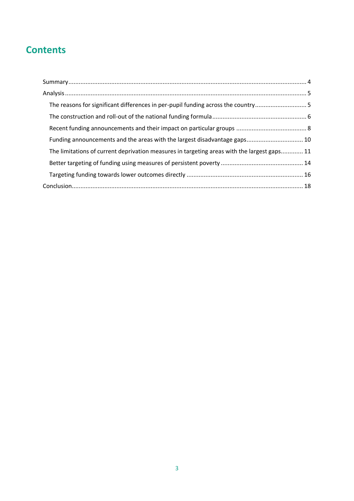## **Contents**

| The reasons for significant differences in per-pupil funding across the country5            |  |
|---------------------------------------------------------------------------------------------|--|
|                                                                                             |  |
|                                                                                             |  |
| Funding announcements and the areas with the largest disadvantage gaps 10                   |  |
| The limitations of current deprivation measures in targeting areas with the largest gaps 11 |  |
|                                                                                             |  |
|                                                                                             |  |
|                                                                                             |  |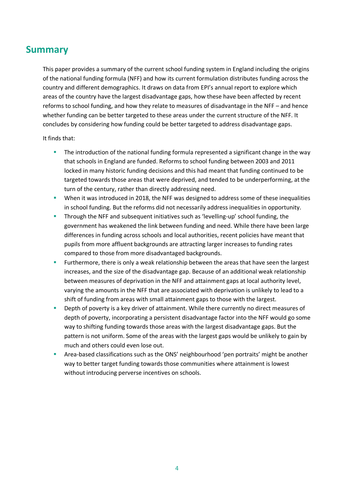### <span id="page-3-0"></span>**Summary**

This paper provides a summary of the current school funding system in England including the origins of the national funding formula (NFF) and how its current formulation distributes funding across the country and different demographics. It draws on data from EPI's annual report to explore which areas of the country have the largest disadvantage gaps, how these have been affected by recent reforms to school funding, and how they relate to measures of disadvantage in the NFF – and hence whether funding can be better targeted to these areas under the current structure of the NFF. It concludes by considering how funding could be better targeted to address disadvantage gaps.

#### It finds that:

- The introduction of the national funding formula represented a significant change in the way that schools in England are funded. Reforms to school funding between 2003 and 2011 locked in many historic funding decisions and this had meant that funding continued to be targeted towards those areas that were deprived, and tended to be underperforming, at the turn of the century, rather than directly addressing need.
- When it was introduced in 2018, the NFF was designed to address some of these inequalities in school funding. But the reforms did not necessarily address inequalities in opportunity.
- **E** Through the NFF and subsequent initiatives such as 'levelling-up' school funding, the government has weakened the link between funding and need. While there have been large differences in funding across schools and local authorities, recent policies have meant that pupils from more affluent backgrounds are attracting larger increases to funding rates compared to those from more disadvantaged backgrounds.
- Furthermore, there is only a weak relationship between the areas that have seen the largest increases, and the size of the disadvantage gap. Because of an additional weak relationship between measures of deprivation in the NFF and attainment gaps at local authority level, varying the amounts in the NFF that are associated with deprivation is unlikely to lead to a shift of funding from areas with small attainment gaps to those with the largest.
- Depth of poverty is a key driver of attainment. While there currently no direct measures of depth of poverty, incorporating a persistent disadvantage factor into the NFF would go some way to shifting funding towards those areas with the largest disadvantage gaps. But the pattern is not uniform. Some of the areas with the largest gaps would be unlikely to gain by much and others could even lose out.
- <span id="page-3-1"></span>Area-based classifications such as the ONS' neighbourhood 'pen portraits' might be another way to better target funding towards those communities where attainment is lowest without introducing perverse incentives on schools.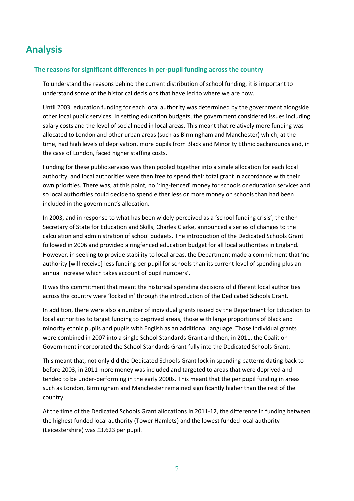## **Analysis**

#### <span id="page-4-0"></span>**The reasons for significant differences in per-pupil funding across the country**

To understand the reasons behind the current distribution of school funding, it is important to understand some of the historical decisions that have led to where we are now.

Until 2003, education funding for each local authority was determined by the government alongside other local public services. In setting education budgets, the government considered issues including salary costs and the level of social need in local areas. This meant that relatively more funding was allocated to London and other urban areas (such as Birmingham and Manchester) which, at the time, had high levels of deprivation, more pupils from Black and Minority Ethnic backgrounds and, in the case of London, faced higher staffing costs.

Funding for these public services was then pooled together into a single allocation for each local authority, and local authorities were then free to spend their total grant in accordance with their own priorities. There was, at this point, no 'ring-fenced' money for schools or education services and so local authorities could decide to spend either less or more money on schools than had been included in the government's allocation.

In 2003, and in response to what has been widely perceived as a 'school funding crisis', the then Secretary of State for Education and Skills, Charles Clarke, announced a series of changes to the calculation and administration of school budgets. The introduction of the Dedicated Schools Grant followed in 2006 and provided a ringfenced education budget for all local authorities in England. However, in seeking to provide stability to local areas, the Department made a commitment that 'no authority [will receive] less funding per pupil for schools than its current level of spending plus an annual increase which takes account of pupil numbers'.

It was this commitment that meant the historical spending decisions of different local authorities across the country were 'locked in' through the introduction of the Dedicated Schools Grant.

In addition, there were also a number of individual grants issued by the Department for Education to local authorities to target funding to deprived areas, those with large proportions of Black and minority ethnic pupils and pupils with English as an additional language. Those individual grants were combined in 2007 into a single School Standards Grant and then, in 2011, the Coalition Government incorporated the School Standards Grant fully into the Dedicated Schools Grant.

This meant that, not only did the Dedicated Schools Grant lock in spending patterns dating back to before 2003, in 2011 more money was included and targeted to areas that were deprived and tended to be under-performing in the early 2000s. This meant that the per pupil funding in areas such as London, Birmingham and Manchester remained significantly higher than the rest of the country.

At the time of the Dedicated Schools Grant allocations in 2011-12, the difference in funding between the highest funded local authority (Tower Hamlets) and the lowest funded local authority (Leicestershire) was £3,623 per pupil.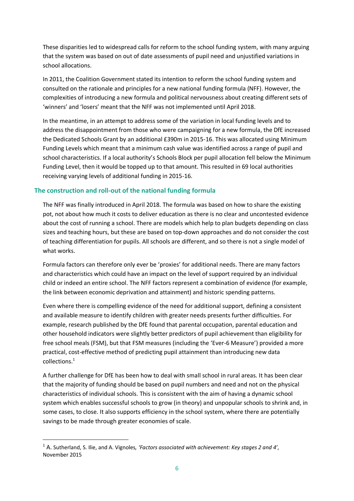These disparities led to widespread calls for reform to the school funding system, with many arguing that the system was based on out of date assessments of pupil need and unjustified variations in school allocations.

In 2011, the Coalition Government stated its intention to reform the school funding system and consulted on the rationale and principles for a new national funding formula (NFF). However, the complexities of introducing a new formula and political nervousness about creating different sets of 'winners' and 'losers' meant that the NFF was not implemented until April 2018.

In the meantime, in an attempt to address some of the variation in local funding levels and to address the disappointment from those who were campaigning for a new formula, the DfE increased the Dedicated Schools Grant by an additional £390m in 2015-16. This was allocated using Minimum Funding Levels which meant that a minimum cash value was identified across a range of pupil and school characteristics. If a local authority's Schools Block per pupil allocation fell below the Minimum Funding Level, then it would be topped up to that amount. This resulted in 69 local authorities receiving varying levels of additional funding in 2015-16.

#### <span id="page-5-0"></span>**The construction and roll-out of the national funding formula**

The NFF was finally introduced in April 2018. The formula was based on how to share the existing pot, not about how much it costs to deliver education as there is no clear and uncontested evidence about the cost of running a school. There are models which help to plan budgets depending on class sizes and teaching hours, but these are based on top-down approaches and do not consider the cost of teaching differentiation for pupils. All schools are different, and so there is not a single model of what works.

Formula factors can therefore only ever be 'proxies' for additional needs. There are many factors and characteristics which could have an impact on the level of support required by an individual child or indeed an entire school. The NFF factors represent a combination of evidence (for example, the link between economic deprivation and attainment) and historic spending patterns.

Even where there is compelling evidence of the need for additional support, defining a consistent and available measure to identify children with greater needs presents further difficulties. For example, research published by the DfE found that parental occupation, parental education and other household indicators were slightly better predictors of pupil achievement than eligibility for free school meals (FSM), but that FSM measures (including the 'Ever-6 Measure') provided a more practical, cost-effective method of predicting pupil attainment than introducing new data collections. 1

A further challenge for DfE has been how to deal with small school in rural areas. It has been clear that the majority of funding should be based on pupil numbers and need and not on the physical characteristics of individual schools. This is consistent with the aim of having a dynamic school system which enables successful schools to grow (in theory) and unpopular schools to shrink and, in some cases, to close. It also supports efficiency in the school system, where there are potentially savings to be made through greater economies of scale.

<sup>1</sup> A. Sutherland, S. Ilie, and A. Vignoles*, 'Factors associated with achievement: Key stages 2 and 4'*, November 2015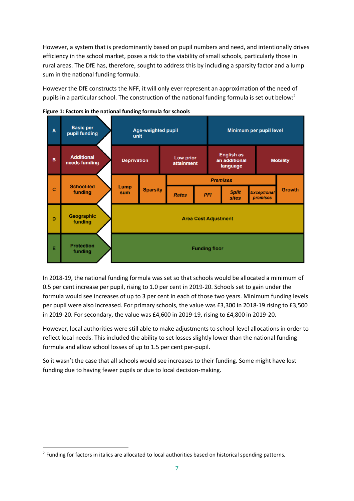However, a system that is predominantly based on pupil numbers and need, and intentionally drives efficiency in the school market, poses a risk to the viability of small schools, particularly those in rural areas. The DfE has, therefore, sought to address this by including a sparsity factor and a lump sum in the national funding formula.

However the DfE constructs the NFF, it will only ever represent an approximation of the need of pupils in a particular school. The construction of the national funding formula is set out below:<sup>2</sup>





In 2018-19, the national funding formula was set so that schools would be allocated a minimum of 0.5 per cent increase per pupil, rising to 1.0 per cent in 2019-20. Schools set to gain under the formula would see increases of up to 3 per cent in each of those two years. Minimum funding levels per pupil were also increased. For primary schools, the value was £3,300 in 2018-19 rising to £3,500 in 2019-20. For secondary, the value was £4,600 in 2019-19, rising to £4,800 in 2019-20.

However, local authorities were still able to make adjustments to school-level allocations in order to reflect local needs. This included the ability to set losses slightly lower than the national funding formula and allow school losses of up to 1.5 per cent per-pupil.

<span id="page-6-0"></span>So it wasn't the case that all schools would see increases to their funding. Some might have lost funding due to having fewer pupils or due to local decision-making.

<sup>&</sup>lt;sup>2</sup> Funding for factors in italics are allocated to local authorities based on historical spending patterns.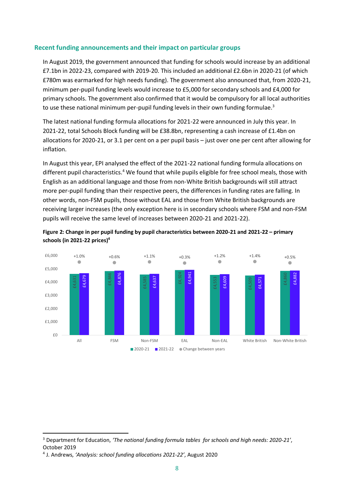#### **Recent funding announcements and their impact on particular groups**

In August 2019, the government announced that funding for schools would increase by an additional £7.1bn in 2022-23, compared with 2019-20. This included an additional £2.6bn in 2020-21 (of which £780m was earmarked for high needs funding). The government also announced that, from 2020-21, minimum per-pupil funding levels would increase to £5,000 for secondary schools and £4,000 for primary schools. The government also confirmed that it would be compulsory for all local authorities to use these national minimum per-pupil funding levels in their own funding formulae.<sup>3</sup>

The latest national funding formula allocations for 2021-22 were announced in July this year. In 2021-22, total Schools Block funding will be £38.8bn, representing a cash increase of £1.4bn on allocations for 2020-21, or 3.1 per cent on a per pupil basis – just over one per cent after allowing for inflation.

<span id="page-7-0"></span>In August this year, EPI analysed the effect of the 2021-22 national funding formula allocations on different pupil characteristics.<sup>4</sup> We found that while pupils eligible for free school meals, those with English as an additional language and those from non-White British backgrounds will still attract more per-pupil funding than their respective peers, the differences in funding rates are falling. In other words, non-FSM pupils, those without EAL and those from White British backgrounds are receiving larger increases (the only exception here is in secondary schools where FSM and non-FSM pupils will receive the same level of increases between 2020-21 and 2021-22).





<sup>3</sup> Department for Education, *'The national funding formula tables for schools and high needs: 2020-21'*, October 2019

<sup>&</sup>lt;sup>4</sup> J. Andrews, 'Analysis: school funding allocations 2021-22', August 2020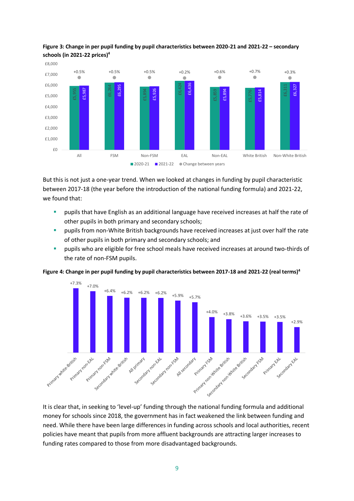

#### **Figure 3: Change in per pupil funding by pupil characteristics between 2020-21 and 2021-22 – secondary schools (in 2021-22 prices[\)](#page-7-0)<sup>4</sup>**

But this is not just a one-year trend. When we looked at changes in funding by pupil characteristic between 2017-18 (the year before the introduction of the national funding formula) and 2021-22, we found that:

- pupils that have English as an additional language have received increases at half the rate of other pupils in both primary and secondary schools;
- **·** pupils from non-White British backgrounds have received increases at just over half the rate of other pupils in both primary and secondary schools; and
- **•** pupils who are eligible for free school meals have received increases at around two-thirds of the rate of non-FSM pupils.



**Figure 4: Change in per pupil funding by pupil characteristics between 2017-18 and 2021-22 (real terms[\)](#page-7-0)<sup>4</sup>**

It is clear that, in seeking to 'level-up' funding through the national funding formula and additional money for schools since 2018, the government has in fact weakened the link between funding and need. While there have been large differences in funding across schools and local authorities, recent policies have meant that pupils from more affluent backgrounds are attracting larger increases to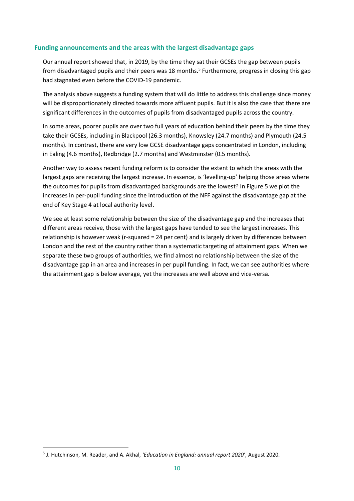#### <span id="page-9-0"></span>**Funding announcements and the areas with the largest disadvantage gaps**

Our annual report showed that, in 2019, by the time they sat their GCSEs the gap between pupils from disadvantaged pupils and their peers was 18 months.<sup>5</sup> Furthermore, progress in closing this gap had stagnated even before the COVID-19 pandemic.

The analysis above suggests a funding system that will do little to address this challenge since money will be disproportionately directed towards more affluent pupils. But it is also the case that there are significant differences in the outcomes of pupils from disadvantaged pupils across the country.

In some areas, poorer pupils are over two full years of education behind their peers by the time they take their GCSEs, including in Blackpool (26.3 months), Knowsley (24.7 months) and Plymouth (24.5 months). In contrast, there are very low GCSE disadvantage gaps concentrated in London, including in Ealing (4.6 months), Redbridge (2.7 months) and Westminster (0.5 months).

Another way to assess recent funding reform is to consider the extent to which the areas with the largest gaps are receiving the largest increase. In essence, is 'levelling-up' helping those areas where the outcomes for pupils from disadvantaged backgrounds are the lowest? In Figure 5 we plot the increases in per-pupil funding since the introduction of the NFF against the disadvantage gap at the end of Key Stage 4 at local authority level.

We see at least some relationship between the size of the disadvantage gap and the increases that different areas receive, those with the largest gaps have tended to see the largest increases. This relationship is however weak (r-squared = 24 per cent) and is largely driven by differences between London and the rest of the country rather than a systematic targeting of attainment gaps. When we separate these two groups of authorities, we find almost no relationship between the size of the disadvantage gap in an area and increases in per pupil funding. In fact, we can see authorities where the attainment gap is below average, yet the increases are well above and vice-versa.

<sup>5</sup> J. Hutchinson, M. Reader, and A. Akhal, *'Education in England: annual report 2020'*, August 2020.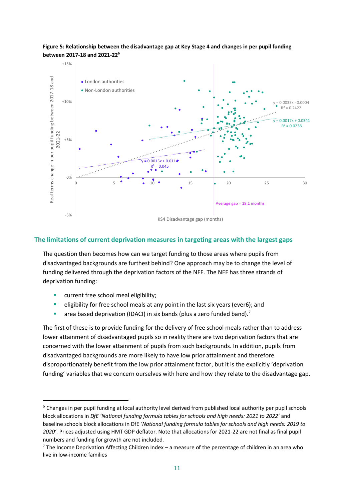#### **Figure 5: Relationship between the disadvantage gap at Key Stage 4 and changes in per pupil funding between 2017-18 and 2021-22<sup>6</sup>**



#### <span id="page-10-0"></span>**The limitations of current deprivation measures in targeting areas with the largest gaps**

The question then becomes how can we target funding to those areas where pupils from disadvantaged backgrounds are furthest behind? One approach may be to change the level of funding delivered through the deprivation factors of the NFF. The NFF has three strands of deprivation funding:

- **■** current free school meal eligibility;
- eligibility for free school meals at any point in the last six years (ever6); and
- area based deprivation (IDACI) in six bands (plus a zero funded band).<sup>7</sup>

The first of these is to provide funding for the delivery of free school meals rather than to address lower attainment of disadvantaged pupils so in reality there are two deprivation factors that are concerned with the lower attainment of pupils from such backgrounds. In addition, pupils from disadvantaged backgrounds are more likely to have low prior attainment and therefore disproportionately benefit from the low prior attainment factor, but it is the explicitly 'deprivation funding' variables that we concern ourselves with here and how they relate to the disadvantage gap.

<sup>&</sup>lt;sup>6</sup> Changes in per pupil funding at local authority level derived from published local authority per pupil schools block allocations in *DfE 'National funding formula tables for schools and high needs: 2021 to 2022'* and baseline schools block allocations in DfE *'National funding formula tables for schools and high needs: 2019 to 2020'*. Prices adjusted using HMT GDP deflator. Note that allocations for 2021-22 are not final as final pupil numbers and funding for growth are not included.

 $7$  The Income Deprivation Affecting Children Index – a measure of the percentage of children in an area who live in low-income families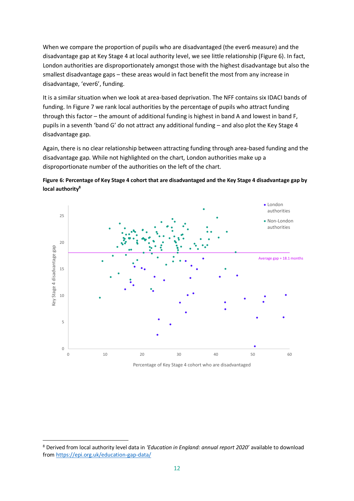When we compare the proportion of pupils who are disadvantaged (the ever6 measure) and the disadvantage gap at Key Stage 4 at local authority level, we see little relationship (Figure 6). In fact, London authorities are disproportionately amongst those with the highest disadvantage but also the smallest disadvantage gaps – these areas would in fact benefit the most from any increase in disadvantage, 'ever6', funding.

It is a similar situation when we look at area-based deprivation. The NFF contains six IDACI bands of funding. In Figure 7 we rank local authorities by the percentage of pupils who attract funding through this factor – the amount of additional funding is highest in band A and lowest in band F, pupils in a seventh 'band G' do not attract any additional funding – and also plot the Key Stage 4 disadvantage gap.

Again, there is no clear relationship between attracting funding through area-based funding and the disadvantage gap. While not highlighted on the chart, London authorities make up a disproportionate number of the authorities on the left of the chart.



<span id="page-11-0"></span>

Percentage of Key Stage 4 cohort who are disadvantaged

<sup>8</sup> Derived from local authority level data in *'Education in England: annual report 2020'* available to download from<https://epi.org.uk/education-gap-data/>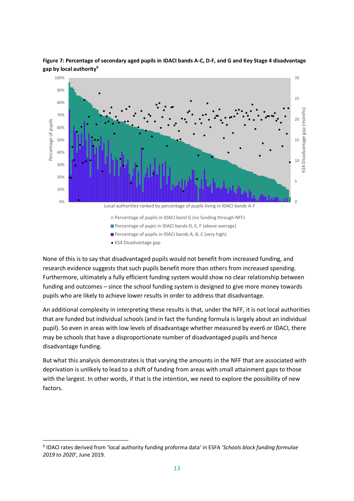

**Figure 7: Percentage of secondary aged pupils in IDACI bands A-C, D-F, and G and Key Stage 4 disadvantage gap by local authority<sup>9</sup>**

None of this is to say that disadvantaged pupils would not benefit from increased funding, and research evidence suggests that such pupils benefit more than others from increased spending. Furthermore, ultimately a fully efficient funding system would show no clear relationship between funding and outcomes – since the school funding system is designed to give more money towards pupils who are likely to achieve lower results in order to address that disadvantage.

An additional complexity in interpreting these results is that, under the NFF, it is not local authorities that are funded but individual schools (and in fact the funding formula is largely about an individual pupil). So even in areas with low levels of disadvantage whether measured by ever6 or IDACI, there may be schools that have a disproportionate number of disadvantaged pupils and hence disadvantage funding.

<span id="page-12-0"></span>But what this analysis demonstrates is that varying the amounts in the NFF that are associated with deprivation is unlikely to lead to a shift of funding from areas with small attainment gaps to those with the largest. In other words, if that is the intention, we need to explore the possibility of new factors.

<sup>9</sup> IDACI rates derived from 'local authority funding proforma data' in ESFA *'Schools block funding formulae 2019 to 2020'*, June 2019.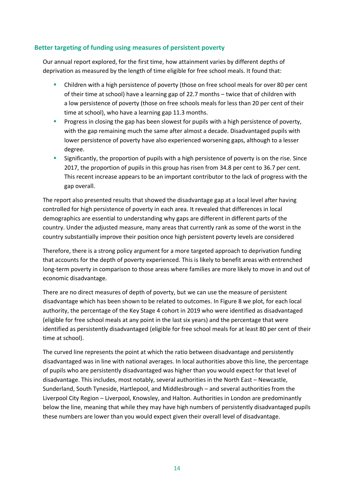#### **Better targeting of funding using measures of persistent poverty**

Our annual report explored, for the first time, how attainment varies by different depths of deprivation as measured by the length of time eligible for free school meals. It found that:

- **•** Children with a high persistence of poverty (those on free school meals for over 80 per cent of their time at school) have a learning gap of 22.7 months - twice that of children with a low persistence of poverty (those on free schools meals for less than 20 per cent of their time at school), who have a learning gap 11.3 months.
- **•** Progress in closing the gap has been slowest for pupils with a high persistence of poverty, with the gap remaining much the same after almost a decade. Disadvantaged pupils with lower persistence of poverty have also experienced worsening gaps, although to a lesser degree.
- **EXECUTE:** Significantly, the proportion of pupils with a high persistence of poverty is on the rise. Since 2017, the proportion of pupils in this group has risen from 34.8 per cent to 36.7 per cent. This recent increase appears to be an important contributor to the lack of progress with the gap overall.

The report also presented results that showed the disadvantage gap at a local level after having controlled for high persistence of poverty in each area. It revealed that differences in local demographics are essential to understanding why gaps are different in different parts of the country. Under the adjusted measure, many areas that currently rank as some of the worst in the country substantially improve their position once high persistent poverty levels are considered

Therefore, there is a strong policy argument for a more targeted approach to deprivation funding that accounts for the depth of poverty experienced. This is likely to benefit areas with entrenched long-term poverty in comparison to those areas where families are more likely to move in and out of economic disadvantage.

There are no direct measures of depth of poverty, but we can use the measure of persistent disadvantage which has been shown to be related to outcomes. In Figure 8 we plot, for each local authority, the percentage of the Key Stage 4 cohort in 2019 who were identified as disadvantaged (eligible for free school meals at any point in the last six years) and the percentage that were identified as persistently disadvantaged (eligible for free school meals for at least 80 per cent of their time at school).

The curved line represents the point at which the ratio between disadvantage and persistently disadvantaged was in line with national averages. In local authorities above this line, the percentage of pupils who are persistently disadvantaged was higher than you would expect for that level of disadvantage. This includes, most notably, several authorities in the North East – Newcastle, Sunderland, South Tyneside, Hartlepool, and Middlesbrough – and several authorities from the Liverpool City Region – Liverpool, Knowsley, and Halton. Authorities in London are predominantly below the line, meaning that while they may have high numbers of persistently disadvantaged pupils these numbers are lower than you would expect given their overall level of disadvantage.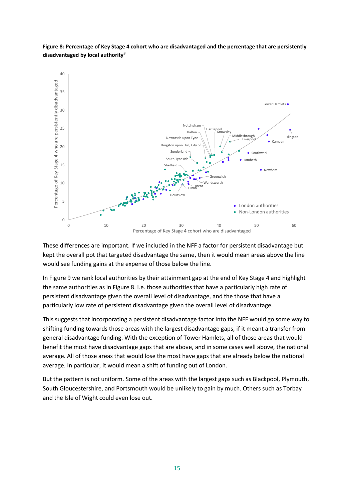

**Figure 8: Percentage of Key Stage 4 cohort who are disadvantaged and the percentage that are persistently disadvantaged by local authorit[y](#page-11-0)<sup>8</sup>**

These differences are important. If we included in the NFF a factor for persistent disadvantage but kept the overall pot that targeted disadvantage the same, then it would mean areas above the line would see funding gains at the expense of those below the line.

In Figure 9 we rank local authorities by their attainment gap at the end of Key Stage 4 and highlight the same authorities as in Figure 8. i.e. those authorities that have a particularly high rate of persistent disadvantage given the overall level of disadvantage, and the those that have a particularly low rate of persistent disadvantage given the overall level of disadvantage.

This suggests that incorporating a persistent disadvantage factor into the NFF would go some way to shifting funding towards those areas with the largest disadvantage gaps, if it meant a transfer from general disadvantage funding. With the exception of Tower Hamlets, all of those areas that would benefit the most have disadvantage gaps that are above, and in some cases well above, the national average. All of those areas that would lose the most have gaps that are already below the national average. In particular, it would mean a shift of funding out of London.

But the pattern is not uniform. Some of the areas with the largest gaps such as Blackpool, Plymouth, South Gloucestershire, and Portsmouth would be unlikely to gain by much. Others such as Torbay and the Isle of Wight could even lose out.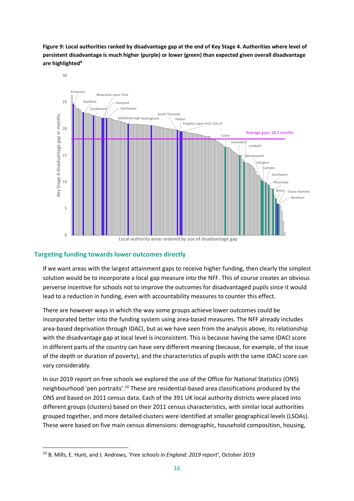**Figure 9: Local authorities ranked by disadvantage gap at the end of Key Stage 4. Authorities where level of persistent disadvantage is much higher (purple) or lower (green) than expected given overall disadvantage are highlighte[d](#page-11-0)<sup>8</sup>**



#### <span id="page-15-0"></span>**Targeting funding towards lower outcomes directly**

If we want areas with the largest attainment gaps to receive higher funding, then clearly the simplest solution would be to incorporate a local gap measure into the NFF. This of course creates an obvious perverse incentive for schools not to improve the outcomes for disadvantaged pupils since it would lead to a reduction in funding, even with accountability measures to counter this effect.

There are however ways in which the way some groups achieve lower outcomes could be incorporated better into the funding system using area-based measures. The NFF already includes area-based deprivation through IDACI, but as we have seen from the analysis above, its relationship with the disadvantage gap at local level is inconsistent. This is because having the same IDACI score in different parts of the country can have very different meaning (because, for example, of the issue of the depth or duration of poverty), and the characteristics of pupils with the same IDACI score can vary considerably.

In our 2019 report on free schools we explored the use of the Office for National Statistics (ONS) neighbourhood 'pen portraits'.<sup>10</sup> These are residential-based area classifications produced by the ONS and based on 2011 census data. Each of the 391 UK local authority districts were placed into different groups (clusters) based on their 2011 census characteristics, with similar local authorities grouped together, and more detailed clusters were identified at smaller geographical levels (LSOAs). These were based on five main census dimensions: demographic, household composition, housing,

<sup>10</sup> B. Mills, E. Hunt, and J. Andrews, *'Free schools in England: 2019 report'*, October 2019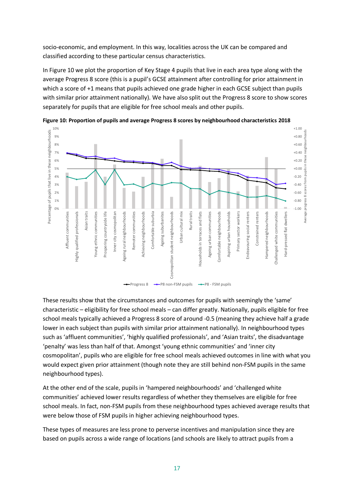socio-economic, and employment. In this way, localities across the UK can be compared and classified according to these particular census characteristics.

In Figure 10 we plot the proportion of Key Stage 4 pupils that live in each area type along with the average Progress 8 score (this is a pupil's GCSE attainment after controlling for prior attainment in which a score of +1 means that pupils achieved one grade higher in each GCSE subject than pupils with similar prior attainment nationally). We have also split out the Progress 8 score to show scores separately for pupils that are eligible for free school meals and other pupils.



**Figure 10: Proportion of pupils and average Progress 8 scores by neighbourhood characteristics 2018**

These results show that the circumstances and outcomes for pupils with seemingly the 'same' characteristic – eligibility for free school meals – can differ greatly. Nationally, pupils eligible for free school meals typically achieved a Progress 8 score of around -0.5 (meaning they achieve half a grade lower in each subject than pupils with similar prior attainment nationally). In neighbourhood types such as 'affluent communities', 'highly qualified professionals', and 'Asian traits', the disadvantage 'penalty' was less than half of that. Amongst 'young ethnic communities' and 'inner city cosmopolitan', pupils who are eligible for free school meals achieved outcomes in line with what you would expect given prior attainment (though note they are still behind non-FSM pupils in the same neighbourhood types).

At the other end of the scale, pupils in 'hampered neighbourhoods' and 'challenged white communities' achieved lower results regardless of whether they themselves are eligible for free school meals. In fact, non-FSM pupils from these neighbourhood types achieved average results that were below those of FSM pupils in higher achieving neighbourhood types.

These types of measures are less prone to perverse incentives and manipulation since they are based on pupils across a wide range of locations (and schools are likely to attract pupils from a